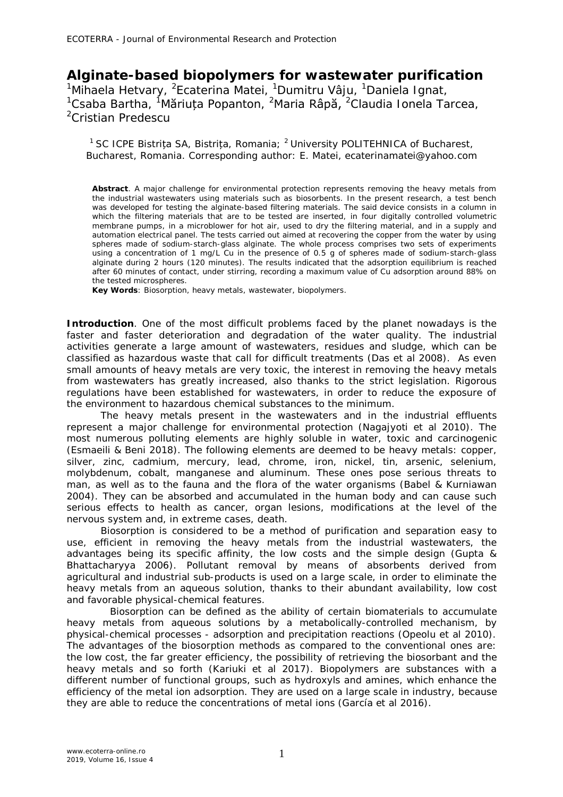## **Alginate-based biopolymers for wastewater purification**

<sup>1</sup>Mihaela Hetvary, <sup>2</sup>Ecaterina Matei, <sup>1</sup>Dumitru Vâju, <sup>1</sup>Daniela Ignat, <sup>1</sup>Csaba Bartha, <sup>1</sup>Măriuța Popanton, <sup>2</sup>Maria Râpă, <sup>2</sup>Claudia Ionela Tarcea, <sup>2</sup>Cristian Predescu

<sup>1</sup> SC ICPE Bistrița SA, Bistrița, Romania; <sup>2</sup> University POLITEHNICA of Bucharest, Bucharest, Romania. Corresponding author: E. Matei, ecaterinamatei@yahoo.com

**Abstract**. A major challenge for environmental protection represents removing the heavy metals from the industrial wastewaters using materials such as biosorbents. In the present research, a test bench was developed for testing the alginate-based filtering materials. The said device consists in a column in which the filtering materials that are to be tested are inserted, in four digitally controlled volumetric membrane pumps, in a microblower for hot air, used to dry the filtering material, and in a supply and automation electrical panel. The tests carried out aimed at recovering the copper from the water by using spheres made of sodium-starch-glass alginate. The whole process comprises two sets of experiments using a concentration of 1 mg/L Cu in the presence of 0.5 g of spheres made of sodium-starch-glass alginate during 2 hours (120 minutes). The results indicated that the adsorption equilibrium is reached after 60 minutes of contact, under stirring, recording a maximum value of Cu adsorption around 88% on the tested microspheres.

**Key Words**: Biosorption, heavy metals, wastewater, biopolymers.

**Introduction**. One of the most difficult problems faced by the planet nowadays is the faster and faster deterioration and degradation of the water quality. The industrial activities generate a large amount of wastewaters, residues and sludge, which can be classified as hazardous waste that call for difficult treatments (Das et al 2008). As even small amounts of heavy metals are very toxic, the interest in removing the heavy metals from wastewaters has greatly increased, also thanks to the strict legislation. Rigorous regulations have been established for wastewaters, in order to reduce the exposure of the environment to hazardous chemical substances to the minimum.

The heavy metals present in the wastewaters and in the industrial effluents represent a major challenge for environmental protection (Nagajyoti et al 2010). The most numerous polluting elements are highly soluble in water, toxic and carcinogenic (Esmaeili & Beni 2018). The following elements are deemed to be heavy metals: copper, silver, zinc, cadmium, mercury, lead, chrome, iron, nickel, tin, arsenic, selenium, molybdenum, cobalt, manganese and aluminum. These ones pose serious threats to man, as well as to the fauna and the flora of the water organisms (Babel & Kurniawan 2004). They can be absorbed and accumulated in the human body and can cause such serious effects to health as cancer, organ lesions, modifications at the level of the nervous system and, in extreme cases, death.

Biosorption is considered to be a method of purification and separation easy to use, efficient in removing the heavy metals from the industrial wastewaters, the advantages being its specific affinity, the low costs and the simple design (Gupta & Bhattacharyya 2006). Pollutant removal by means of absorbents derived from agricultural and industrial sub-products is used on a large scale, in order to eliminate the heavy metals from an aqueous solution, thanks to their abundant availability, low cost and favorable physical-chemical features.

Biosorption can be defined as the ability of certain biomaterials to accumulate heavy metals from aqueous solutions by a metabolically-controlled mechanism, by physical-chemical processes - adsorption and precipitation reactions (Opeolu et al 2010). The advantages of the biosorption methods as compared to the conventional ones are: the low cost, the far greater efficiency, the possibility of retrieving the biosorbant and the heavy metals and so forth (Kariuki et al 2017). Biopolymers are substances with a different number of functional groups, such as hydroxyls and amines, which enhance the efficiency of the metal ion adsorption. They are used on a large scale in industry, because they are able to reduce the concentrations of metal ions (García et al 2016).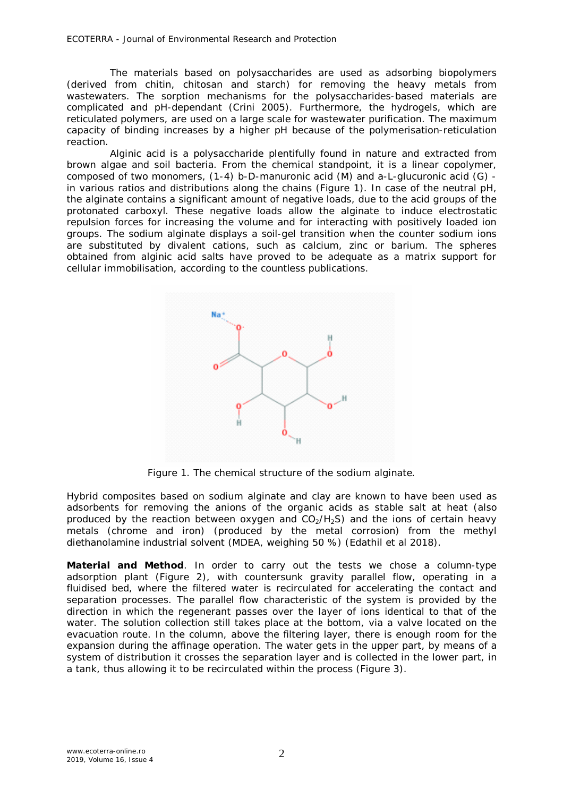ECOTERRA - Journal of Environmental Research and Protection

The materials based on polysaccharides are used as adsorbing biopolymers (derived from chitin, chitosan and starch) for removing the heavy metals from wastewaters. The sorption mechanisms for the polysaccharides-based materials are complicated and pH-dependant (Crini 2005). Furthermore, the hydrogels, which are reticulated polymers, are used on a large scale for wastewater purification. The maximum capacity of binding increases by a higher pH because of the polymerisation-reticulation reaction.

Alginic acid is a polysaccharide plentifully found in nature and extracted from brown algae and soil bacteria. From the chemical standpoint, it is a linear copolymer, composed of two monomers, (1-4) b-D-manuronic acid (M) and a-L-glucuronic acid (G) in various ratios and distributions along the chains (Figure 1). In case of the neutral pH, the alginate contains a significant amount of negative loads, due to the acid groups of the protonated carboxyl. These negative loads allow the alginate to induce electrostatic repulsion forces for increasing the volume and for interacting with positively loaded ion groups. The sodium alginate displays a soil-gel transition when the counter sodium ions are substituted by divalent cations, such as calcium, zinc or barium. The spheres obtained from alginic acid salts have proved to be adequate as a matrix support for cellular immobilisation, according to the countless publications.



Figure 1. The chemical structure of the sodium alginate.

Hybrid composites based on sodium alginate and clay are known to have been used as adsorbents for removing the anions of the organic acids as stable salt at heat (also produced by the reaction between oxygen and  $CO<sub>2</sub>/H<sub>2</sub>S$ ) and the ions of certain heavy metals (chrome and iron) (produced by the metal corrosion) from the methyl diethanolamine industrial solvent (MDEA, weighing 50 %) (Edathil et al 2018).

**Material and Method**. In order to carry out the tests we chose a column-type adsorption plant (Figure 2), with countersunk gravity parallel flow, operating in a fluidised bed, where the filtered water is recirculated for accelerating the contact and separation processes. The parallel flow characteristic of the system is provided by the direction in which the regenerant passes over the layer of ions identical to that of the water. The solution collection still takes place at the bottom, via a valve located on the evacuation route. In the column, above the filtering layer, there is enough room for the expansion during the affinage operation. The water gets in the upper part, by means of a system of distribution it crosses the separation layer and is collected in the lower part, in a tank, thus allowing it to be recirculated within the process (Figure 3).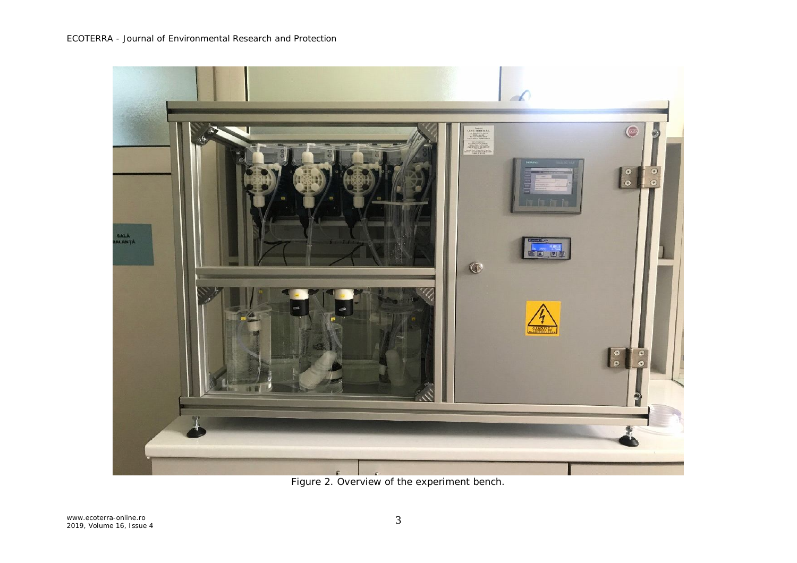

Figure 2. Overview of the experiment bench.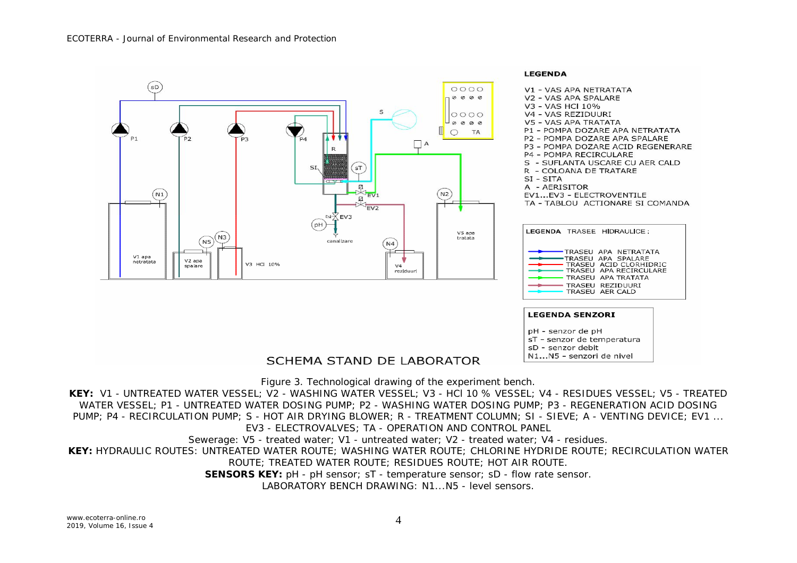

## SCHEMA STAND DE LABORATOR

Figure 3. Technological drawing of the experiment bench.

**KEY:** V1 - UNTREATED WATER VESSEL; V2 - WASHING WATER VESSEL; V3 - HCl 10 % VESSEL; V4 - RESIDUES VESSEL; V5 - TREATED WATER VESSEL; P1 - UNTREATED WATER DOSING PUMP; P2 - WASHING WATER DOSING PUMP; P3 - REGENERATION ACID DOSING PUMP; P4 - RECIRCULATION PUMP; S - HOT AIR DRYING BLOWER; R - TREATMENT COLUMN; SI - SIEVE; A - VENTING DEVICE; EV1 ...

## EV3 - ELECTROVALVES; TA - OPERATION AND CONTROL PANEL

Sewerage: V5 - treated water; V1 - untreated water; V2 - treated water; V4 - residues.

**KEY:** HYDRAULIC ROUTES: UNTREATED WATER ROUTE; WASHING WATER ROUTE; CHLORINE HYDRIDE ROUTE; RECIRCULATION WATER

ROUTE; TREATED WATER ROUTE; RESIDUES ROUTE; HOT AIR ROUTE.

**SENSORS KEY:** pH - pH sensor; sT - temperature sensor; sD - flow rate sensor.

LABORATORY BENCH DRAWING: N1...N5 - level sensors.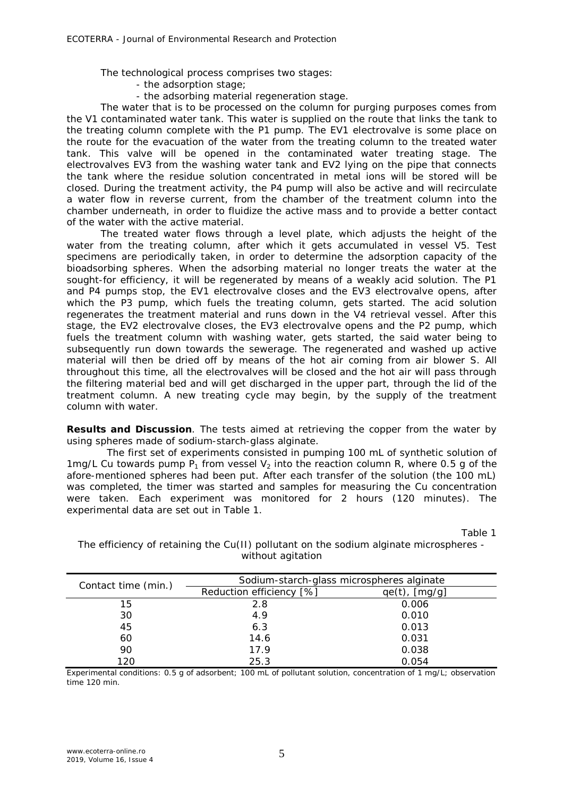The technological process comprises two stages:

- the adsorption stage;
- the adsorbing material regeneration stage.

The water that is to be processed on the column for purging purposes comes from the V1 contaminated water tank. This water is supplied on the route that links the tank to the treating column complete with the P1 pump. The EV1 electrovalve is some place on the route for the evacuation of the water from the treating column to the treated water tank. This valve will be opened in the contaminated water treating stage. The electrovalves EV3 from the washing water tank and EV2 lying on the pipe that connects the tank where the residue solution concentrated in metal ions will be stored will be closed. During the treatment activity, the P4 pump will also be active and will recirculate a water flow in reverse current, from the chamber of the treatment column into the chamber underneath, in order to fluidize the active mass and to provide a better contact of the water with the active material.

The treated water flows through a level plate, which adjusts the height of the water from the treating column, after which it gets accumulated in vessel V5. Test specimens are periodically taken, in order to determine the adsorption capacity of the bioadsorbing spheres. When the adsorbing material no longer treats the water at the sought-for efficiency, it will be regenerated by means of a weakly acid solution. The P1 and P4 pumps stop, the EV1 electrovalve closes and the EV3 electrovalve opens, after which the P3 pump, which fuels the treating column, gets started. The acid solution regenerates the treatment material and runs down in the V4 retrieval vessel. After this stage, the EV2 electrovalve closes, the EV3 electrovalve opens and the P2 pump, which fuels the treatment column with washing water, gets started, the said water being to subsequently run down towards the sewerage. The regenerated and washed up active material will then be dried off by means of the hot air coming from air blower S. All throughout this time, all the electrovalves will be closed and the hot air will pass through the filtering material bed and will get discharged in the upper part, through the lid of the treatment column. A new treating cycle may begin, by the supply of the treatment column with water.

**Results and Discussion**. The tests aimed at retrieving the copper from the water by using spheres made of sodium-starch-glass alginate.

The first set of experiments consisted in pumping 100 mL of synthetic solution of 1mg/L Cu towards pump  $P_1$  from vessel  $V_2$  into the reaction column R, where 0.5 g of the afore-mentioned spheres had been put. After each transfer of the solution (the 100 mL) was completed, the timer was started and samples for measuring the Cu concentration were taken. Each experiment was monitored for 2 hours (120 minutes). The experimental data are set out in Table 1.

Table 1

| Contact time (min.) | Sodium-starch-glass microspheres alginate |                  |  |
|---------------------|-------------------------------------------|------------------|--|
|                     | Reduction efficiency [%]                  | $qe(t)$ , [mg/g] |  |
| 15                  | 2.8                                       | 0.006            |  |
| 30                  | 4.9                                       | 0.010            |  |
| 45                  | 6.3                                       | 0.013            |  |
| 60                  | 14.6                                      | 0.031            |  |
| 90                  | 17.9                                      | 0.038            |  |
| 120                 | 25.3                                      | 0.054            |  |

The efficiency of retaining the Cu(II) pollutant on the sodium alginate microspheres without agitation

Experimental conditions: 0.5 g of adsorbent; 100 mL of pollutant solution, concentration of 1 mg/L; observation time 120 min.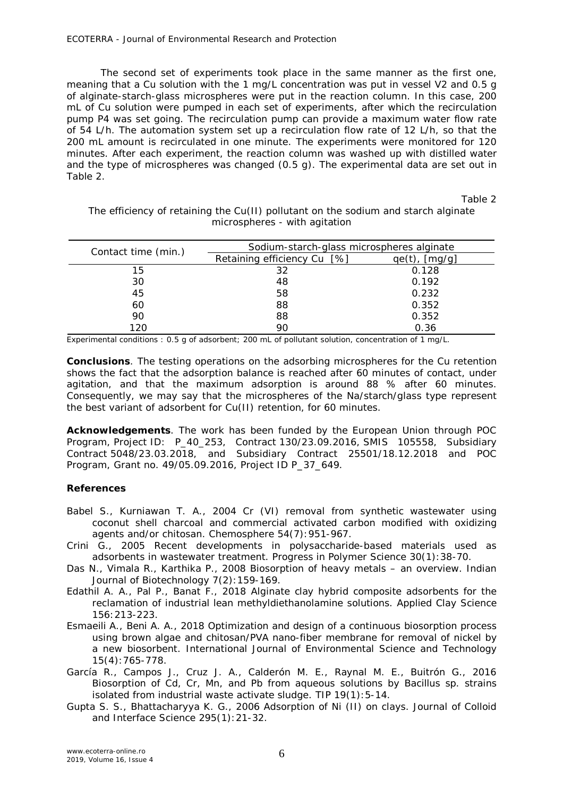The second set of experiments took place in the same manner as the first one, meaning that a Cu solution with the 1 mg/L concentration was put in vessel V2 and 0.5 g of alginate-starch-glass microspheres were put in the reaction column. In this case, 200 mL of Cu solution were pumped in each set of experiments, after which the recirculation pump P4 was set going. The recirculation pump can provide a maximum water flow rate of 54 L/h. The automation system set up a recirculation flow rate of 12 L/h, so that the 200 mL amount is recirculated in one minute. The experiments were monitored for 120 minutes. After each experiment, the reaction column was washed up with distilled water and the type of microspheres was changed (0.5 g). The experimental data are set out in Table 2.

Table 2

The efficiency of retaining the Cu(II) pollutant on the sodium and starch alginate microspheres - with agitation

| Contact time (min.) | Sodium-starch-glass microspheres alginate |                  |  |
|---------------------|-------------------------------------------|------------------|--|
|                     | Retaining efficiency Cu [%]               | $qe(t)$ , [mg/g] |  |
| 15                  | 32                                        | 0.128            |  |
| 30                  | 48                                        | 0.192            |  |
| 45                  | 58                                        | 0.232            |  |
| 60                  | 88                                        | 0.352            |  |
| 90                  | 88                                        | 0.352            |  |
| 120                 | 90                                        | 0.36             |  |

Experimental conditions : 0.5 g of adsorbent; 200 mL of pollutant solution, concentration of 1 mg/L.

**Conclusions**. The testing operations on the adsorbing microspheres for the Cu retention shows the fact that the adsorption balance is reached after 60 minutes of contact, under agitation, and that the maximum adsorption is around 88 % after 60 minutes. Consequently, we may say that the microspheres of the Na/starch/glass type represent the best variant of adsorbent for Cu(II) retention, for 60 minutes.

**Acknowledgements**. The work has been funded by the European Union through POC Program, Project ID: P\_40\_253, Contract 130/23.09.2016, SMIS 105558, Subsidiary Contract 5048/23.03.2018, and Subsidiary Contract 25501/18.12.2018 and POC Program, Grant no. 49/05.09.2016, Project ID P\_37\_649.

## **References**

- Babel S., Kurniawan T. A., 2004 Cr (VI) removal from synthetic wastewater using coconut shell charcoal and commercial activated carbon modified with oxidizing agents and/or chitosan. Chemosphere 54(7):951-967.
- Crini G., 2005 Recent developments in polysaccharide-based materials used as adsorbents in wastewater treatment. Progress in Polymer Science 30(1):38-70.
- Das N., Vimala R., Karthika P., 2008 Biosorption of heavy metals an overview. Indian Journal of Biotechnology 7(2):159-169.
- Edathil A. A., Pal P., Banat F., 2018 Alginate clay hybrid composite adsorbents for the reclamation of industrial lean methyldiethanolamine solutions. Applied Clay Science 156:213-223.
- Esmaeili A., Beni A. A., 2018 Optimization and design of a continuous biosorption process using brown algae and chitosan/PVA nano-fiber membrane for removal of nickel by a new biosorbent. International Journal of Environmental Science and Technology 15(4):765-778.
- García R., Campos J., Cruz J. A., Calderón M. E., Raynal M. E., Buitrón G., 2016 Biosorption of Cd, Cr, Mn, and Pb from aqueous solutions by *Bacillus* sp. strains isolated from industrial waste activate sludge. TIP 19(1):5-14.
- Gupta S. S., Bhattacharyya K. G., 2006 Adsorption of Ni (II) on clays. Journal of Colloid and Interface Science 295(1):21-32.